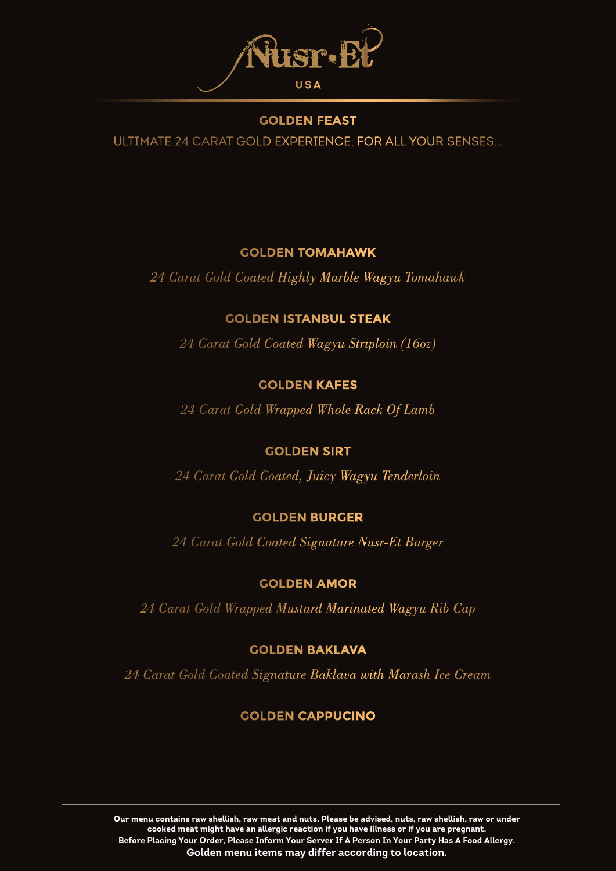

#### **GOLDEN FEAST**

ULTIMATE 24 CARAT GOLD EXPERIENCE, FOR ALL YOUR SENSES…

### **GOLDEN TOMAHAWK**

*24 Carat Gold Coated Highly Marble Wagyu Tomahawk*

## **GOLDEN ISTANBUL STEAK**

*24 Carat Gold Coated Wagyu Striploin (16oz)*

## **GOLDEN KAFES**

*24 Carat Gold Wrapped Whole Rack Of Lamb*

## **GOLDEN SIRT**

*24 Carat Gold Coated, Juicy Wagyu Tenderloin*

# **GOLDEN BURGER**

*24 Carat Gold Coated Signature Nusr-Et Burger*

## **GOLDEN AMOR**

*24 Carat Gold Wrapped Mustard Marinated Wagyu Rib Cap*

## **GOLDEN BAKLAVA**

*24 Carat Gold Coated Signature Baklava with Marash Ice Cream*

# **GOLDEN CAPPUCINO**

**Our menu contains raw shellish, raw meat and nuts. Please be advised, nuts, raw shellish, raw or under cooked meat might have an allergic reaction if you have illness or if you are pregnant. Before Placing Your Order, Please Inform Your Server If A Person In Your Party Has A Food Allergy. Golden menu items may differ according to location.**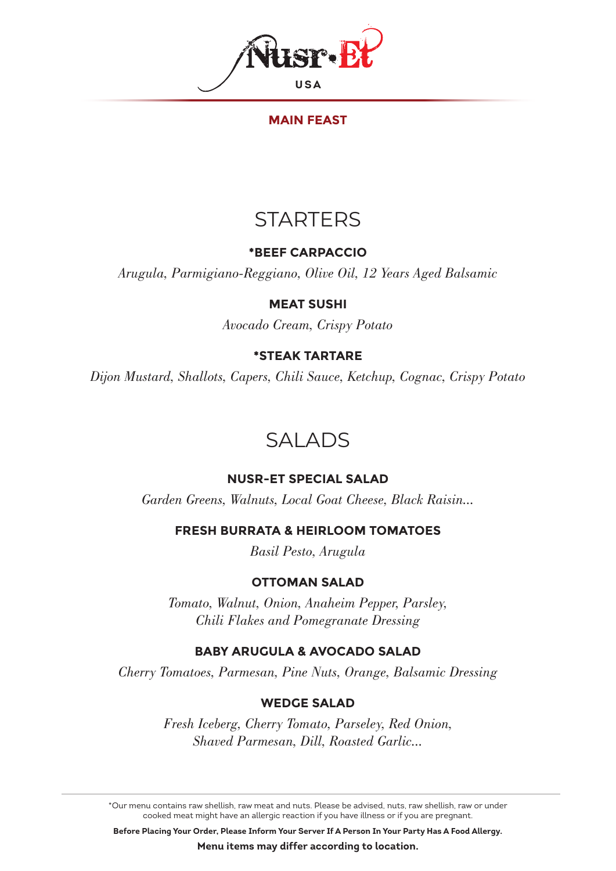

#### **MAIN FEAST**

# **STARTERS**

### **\*BEEF CARPACCIO**

*Arugula, Parmigiano-Reggiano, Olive Oil, 12 Years Aged Balsamic*

#### **MEAT SUSHI**

*Avocado Cream, Crispy Potato*

## **\*STEAK TARTARE**

*Dijon Mustard, Shallots, Capers, Chili Sauce, Ketchup, Cognac, Crispy Potato*

# SALADS

# **NUSR-ET SPECIAL SALAD**

*Garden Greens, Walnuts, Local Goat Cheese, Black Raisin...*

**FRESH BURRATA & HEIRLOOM TOMATOES**

*Basil Pesto, Arugula*

## **OTTOMAN SALAD**

*Tomato, Walnut, Onion, Anaheim Pepper, Parsley, Chili Flakes and Pomegranate Dressing*

## **BABY ARUGULA & AVOCADO SALAD**

*Cherry Tomatoes, Parmesan, Pine Nuts, Orange, Balsamic Dressing*

## **WEDGE SALAD**

*Fresh Iceberg, Cherry Tomato, Parseley, Red Onion, Shaved Parmesan, Dill, Roasted Garlic...*

\*Our menu contains raw shellish, raw meat and nuts. Please be advised, nuts, raw shellish, raw or under cooked meat might have an allergic reaction if you have illness or if you are pregnant.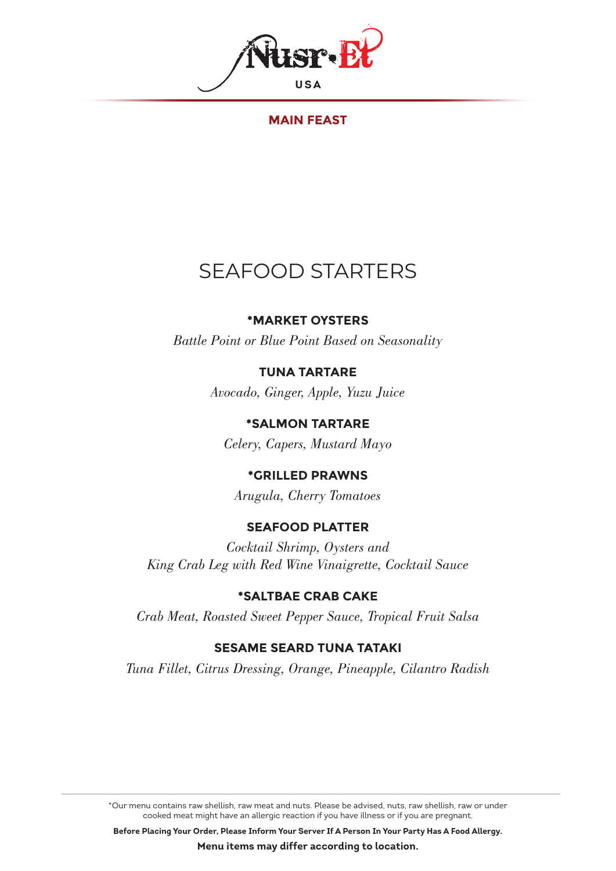

**MAIN FEAST**

# SEAFOOD STARTERS

## **\*MARKET OYSTERS**

*Battle Point or Blue Point Based on Seasonality*

# **TUNA TARTARE**

*Avocado, Ginger, Apple, Yuzu Juice*

**\*SALMON TARTARE** *Celery, Capers, Mustard Mayo*

# **\*GRILLED PRAWNS**

*Arugula, Cherry Tomatoes*

## **SEAFOOD PLATTER**

*Cocktail Shrimp, Oysters and King Crab Leg with Red Wine Vinaigrette, Cocktail Sauce*

## **\*SALTBAE CRAB CAKE**

*Crab Meat, Roasted Sweet Pepper Sauce, Tropical Fruit Salsa*

## **SESAME SEARD TUNA TATAKI**

*Tuna Fillet, Citrus Dressing, Orange, Pineapple, Cilantro Radish*

\*Our menu contains raw shellish, raw meat and nuts. Please be advised, nuts, raw shellish, raw or under cooked meat might have an allergic reaction if you have illness or if you are pregnant.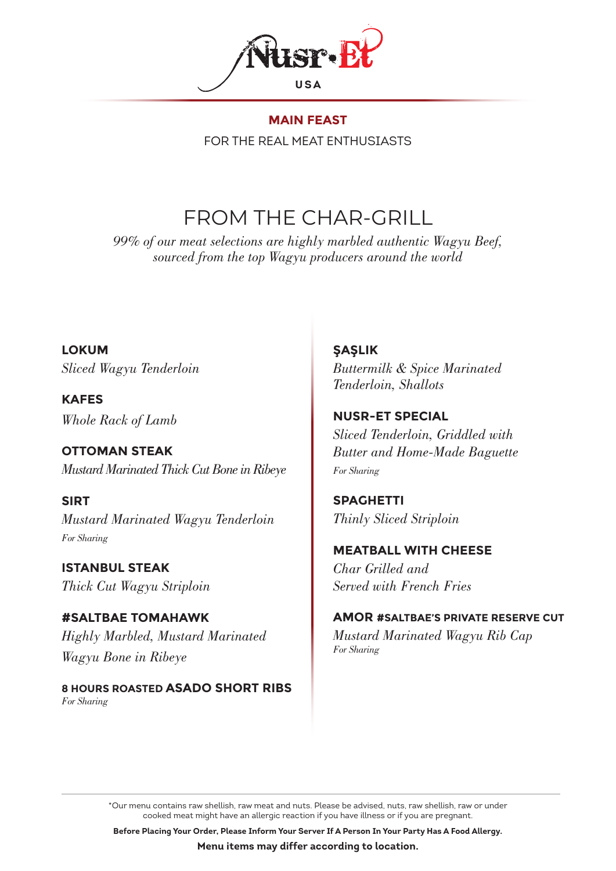

**MAIN FEAST** FOR THE REAL MEAT ENTHUSIASTS

# FROM THE CHAR-GRILL

*99% of our meat selections are highly marbled authentic Wagyu Beef, sourced from the top Wagyu producers around the world*

**LOKUM** *Sliced Wagyu Tenderloin*

**KAFES** *Whole Rack of Lamb*

**OTTOMAN STEAK** *Mustard Marinated Thick Cut Bone in Ribeye*

**SIRT** *Mustard Marinated Wagyu Tenderloin For Sharing*

**ISTANBUL STEAK** *Thick Cut Wagyu Striploin*

**#SALTBAE TOMAHAWK** *Highly Marbled, Mustard Marinated Wagyu Bone in Ribeye*

**8 HOURS ROASTED ASADO SHORT RIBS** *For Sharing*

**ŞAŞLIK** *Buttermilk & Spice Marinated Tenderloin, Shallots*

**NUSR-ET SPECIAL** *Sliced Tenderloin, Griddled with Butter and Home-Made Baguette For Sharing*

**SPAGHETTI** *Thinly Sliced Striploin*

**MEATBALL WITH CHEESE**

*Char Grilled and Served with French Fries* 

## **AMOR #SALTBAE'S PRIVATE RESERVE CUT**

*Mustard Marinated Wagyu Rib Cap For Sharing*

\*Our menu contains raw shellish, raw meat and nuts. Please be advised, nuts, raw shellish, raw or under cooked meat might have an allergic reaction if you have illness or if you are pregnant.